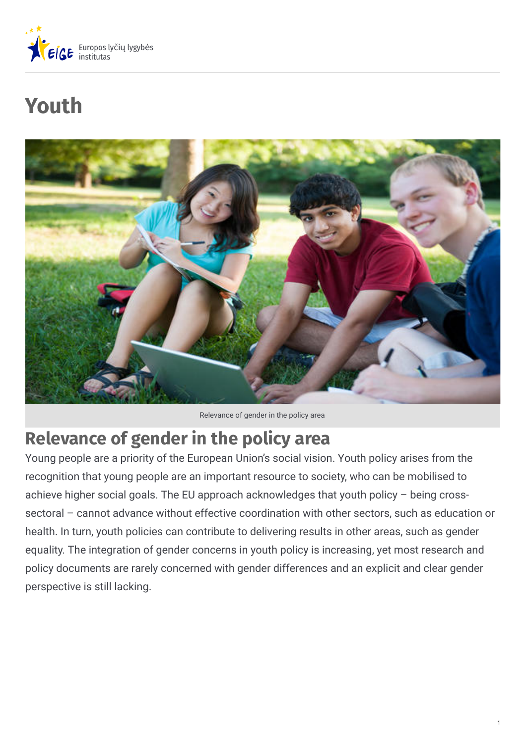

# **Youth**



Relevance of gender in the policy area

# **Relevance of gender in the policy area**

Young people are a priority of the European Union's social vision. Youth policy arises from the recognition that young people are an important resource to society, who can be mobilised to achieve higher social goals. The EU approach acknowledges that youth policy – being crosssectoral – cannot advance without effective coordination with other sectors, such as education or health. In turn, youth policies can contribute to delivering results in other areas, such as gender equality. The integration of gender concerns in youth policy is increasing, yet most research and policy documents are rarely concerned with gender differences and an explicit and clear gender perspective is still lacking.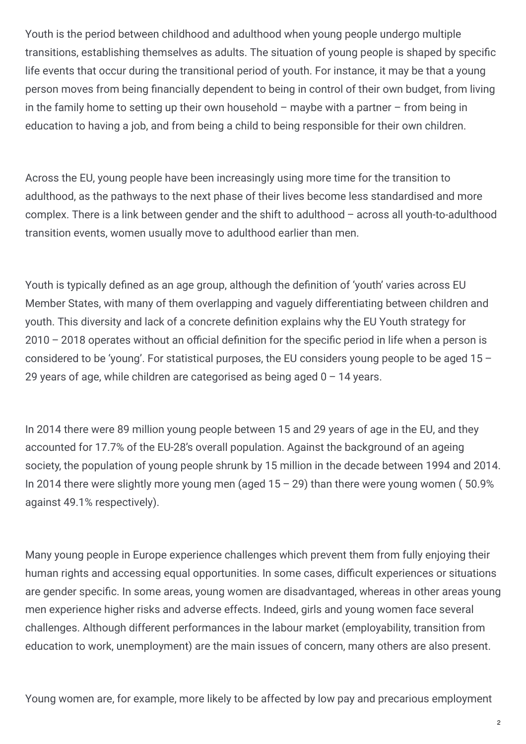Youth is the period between childhood and adulthood when young people undergo multiple transitions, establishing themselves as adults. The situation of young people is shaped by specific life events that occur during the transitional period of youth. For instance, it may be that a young person moves from being financially dependent to being in control of their own budget, from living in the family home to setting up their own household – maybe with a partner – from being in education to having a job, and from being a child to being responsible for their own children.

Across the EU, young people have been increasingly using more time for the transition to adulthood, as the pathways to the next phase of their lives become less standardised and more complex. There is a link between gender and the shift to adulthood – across all youth-to-adulthood transition events, women usually move to adulthood earlier than men.

Youth is typically defined as an age group, although the definition of 'youth' varies across EU Member States, with many of them overlapping and vaguely differentiating between children and youth. This diversity and lack of a concrete definition explains why the EU Youth strategy for  $2010 - 2018$  operates without an official definition for the specific period in life when a person is considered to be 'young'. For statistical purposes, the EU considers young people to be aged 15 – 29 years of age, while children are categorised as being aged  $0 - 14$  years.

In 2014 there were 89 million young people between 15 and 29 years of age in the EU, and they accounted for 17.7% of the EU-28's overall population. Against the background of an ageing society, the population of young people shrunk by 15 million in the decade between 1994 and 2014. In 2014 there were slightly more young men (aged  $15 - 29$ ) than there were young women (50.9% against 49.1% respectively).

Many young people in Europe experience challenges which prevent them from fully enjoying their human rights and accessing equal opportunities. In some cases, difficult experiences or situations are gender specific. In some areas, young women are disadvantaged, whereas in other areas young men experience higher risks and adverse effects. Indeed, girls and young women face several challenges. Although different performances in the labour market (employability, transition from education to work, unemployment) are the main issues of concern, many others are also present.

Young women are, for example, more likely to be affected by low pay and precarious employment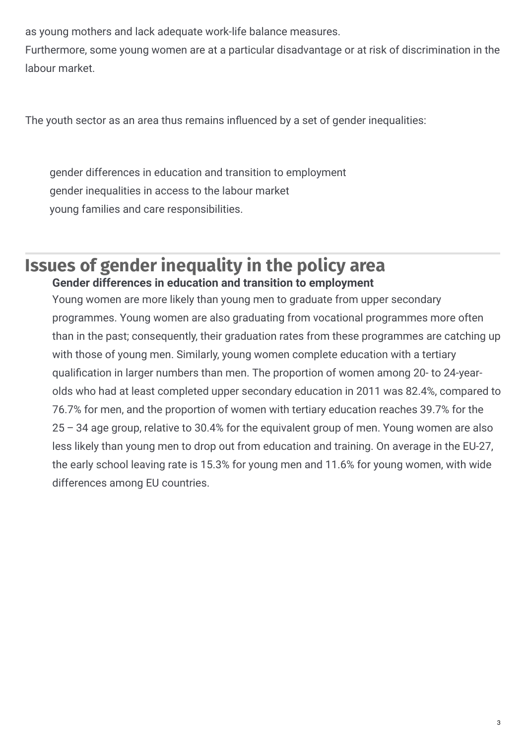as young mothers and lack adequate work-life balance measures.

Furthermore, some young women are at a particular disadvantage or at risk of discrimination in the labour market.

The youth sector as an area thus remains influenced by a set of gender inequalities:

gender differences in education and transition to employment gender inequalities in access to the labour market young families and care responsibilities.

## **Issues of gender inequality in the policy area Gender differences in education and transition to employment**

Young women are more likely than young men to graduate from upper secondary programmes. Young women are also graduating from vocational programmes more often than in the past; consequently, their graduation rates from these programmes are catching up with those of young men. Similarly, young women complete education with a tertiary qualification in larger numbers than men. The proportion of women among 20- to 24-yearolds who had at least completed upper secondary education in 2011 was 82.4%, compared to 76.7% for men, and the proportion of women with tertiary education reaches 39.7% for the 25 – 34 age group, relative to 30.4% for the equivalent group of men. Young women are also less likely than young men to drop out from education and training. On average in the EU-27, the early school leaving rate is 15.3% for young men and 11.6% for young women, with wide differences among EU countries.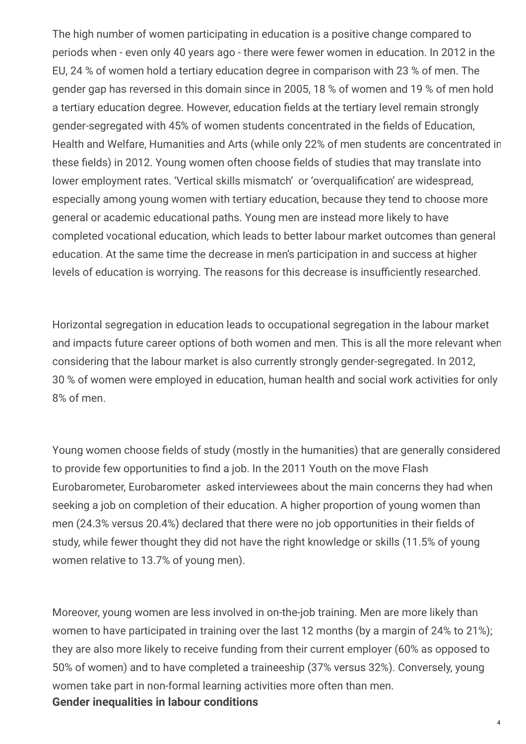The high number of women participating in education is a positive change compared to periods when - even only 40 years ago - there were fewer women in education. In 2012 in the EU, 24 % of women hold a tertiary education degree in comparison with 23 % of men. The gender gap has reversed in this domain since in 2005, 18 % of women and 19 % of men hold a tertiary education degree. However, education fields at the tertiary level remain strongly gender-segregated with 45% of women students concentrated in the fields of Education, Health and Welfare, Humanities and Arts (while only 22% of men students are concentrated in these fields) in 2012. Young women often choose fields of studies that may translate into lower employment rates. 'Vertical skills mismatch' or 'overqualification' are widespread, especially among young women with tertiary education, because they tend to choose more general or academic educational paths. Young men are instead more likely to have completed vocational education, which leads to better labour market outcomes than general education. At the same time the decrease in men's participation in and success at higher levels of education is worrying. The reasons for this decrease is insufficiently researched.

Horizontal segregation in education leads to occupational segregation in the labour market and impacts future career options of both women and men. This is all the more relevant when considering that the labour market is also currently strongly gender-segregated. In 2012, 30 % of women were employed in education, human health and social work activities for only 8% of men.

Young women choose fields of study (mostly in the humanities) that are generally considered to provide few opportunities to find a job. In the 2011 Youth on the move Flash Eurobarometer, Eurobarometer asked interviewees about the main concerns they had when seeking a job on completion of their education. A higher proportion of young women than men (24.3% versus 20.4%) declared that there were no job opportunities in their fields of study, while fewer thought they did not have the right knowledge or skills (11.5% of young women relative to 13.7% of young men).

Moreover, young women are less involved in on-the-job training. Men are more likely than women to have participated in training over the last 12 months (by a margin of 24% to 21%); they are also more likely to receive funding from their current employer (60% as opposed to 50% of women) and to have completed a traineeship (37% versus 32%). Conversely, young women take part in non-formal learning activities more often than men. **Gender inequalities in labour conditions**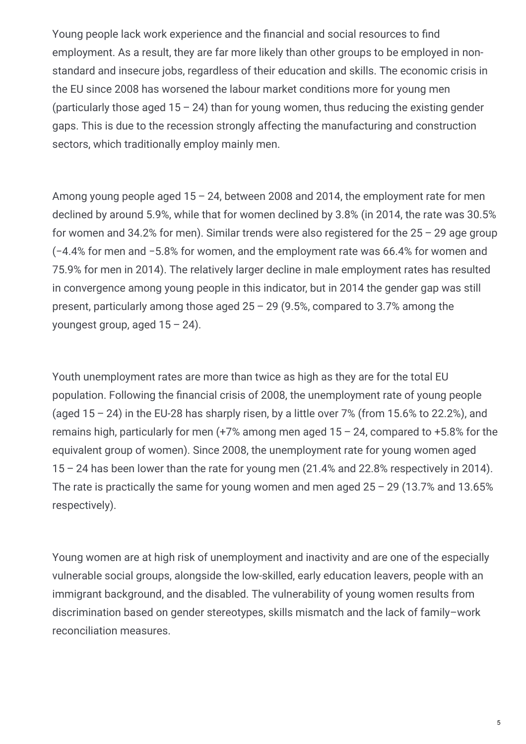Young people lack work experience and the financial and social resources to find employment. As a result, they are far more likely than other groups to be employed in nonstandard and insecure jobs, regardless of their education and skills. The economic crisis in the EU since 2008 has worsened the labour market conditions more for young men (particularly those aged  $15 - 24$ ) than for young women, thus reducing the existing gender gaps. This is due to the recession strongly affecting the manufacturing and construction sectors, which traditionally employ mainly men.

Among young people aged 15 – 24, between 2008 and 2014, the employment rate for men declined by around 5.9%, while that for women declined by 3.8% (in 2014, the rate was 30.5% for women and 34.2% for men). Similar trends were also registered for the  $25 - 29$  age group (−4.4% for men and −5.8% for women, and the employment rate was 66.4% for women and 75.9% for men in 2014). The relatively larger decline in male employment rates has resulted in convergence among young people in this indicator, but in 2014 the gender gap was still present, particularly among those aged  $25 - 29$  (9.5%, compared to 3.7% among the youngest group, aged 15 – 24).

Youth unemployment rates are more than twice as high as they are for the total EU population. Following the financial crisis of 2008, the unemployment rate of young people (aged  $15 - 24$ ) in the EU-28 has sharply risen, by a little over 7% (from 15.6% to 22.2%), and remains high, particularly for men  $(+7\%$  among men aged  $15 - 24$ , compared to  $+5.8\%$  for the equivalent group of women). Since 2008, the unemployment rate for young women aged 15 – 24 has been lower than the rate for young men (21.4% and 22.8% respectively in 2014). The rate is practically the same for young women and men aged  $25 - 29$  (13.7% and 13.65% respectively).

Young women are at high risk of unemployment and inactivity and are one of the especially vulnerable social groups, alongside the low-skilled, early education leavers, people with an immigrant background, and the disabled. The vulnerability of young women results from discrimination based on gender stereotypes, skills mismatch and the lack of family–work reconciliation measures.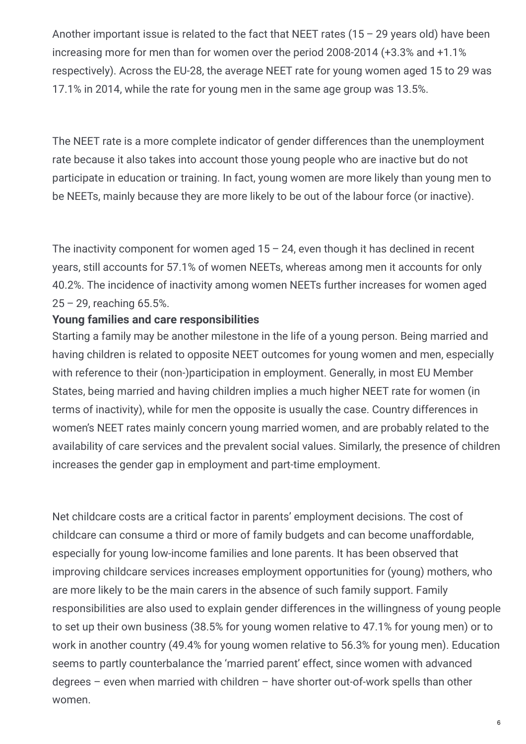Another important issue is related to the fact that NEET rates  $(15 - 29$  vears old) have been increasing more for men than for women over the period 2008-2014 (+3.3% and +1.1% respectively). Across the EU-28, the average NEET rate for young women aged 15 to 29 was 17.1% in 2014, while the rate for young men in the same age group was 13.5%.

The NEET rate is a more complete indicator of gender differences than the unemployment rate because it also takes into account those young people who are inactive but do not participate in education or training. In fact, young women are more likely than young men to be NEETs, mainly because they are more likely to be out of the labour force (or inactive).

The inactivity component for women aged  $15 - 24$ , even though it has declined in recent years, still accounts for 57.1% of women NEETs, whereas among men it accounts for only 40.2%. The incidence of inactivity among women NEETs further increases for women aged 25 – 29, reaching 65.5%.

#### **Young families and care responsibilities**

Starting a family may be another milestone in the life of a young person. Being married and having children is related to opposite NEET outcomes for young women and men, especially with reference to their (non-)participation in employment. Generally, in most EU Member States, being married and having children implies a much higher NEET rate for women (in terms of inactivity), while for men the opposite is usually the case. Country differences in women's NEET rates mainly concern young married women, and are probably related to the availability of care services and the prevalent social values. Similarly, the presence of children increases the gender gap in employment and part-time employment.

Net childcare costs are a critical factor in parents' employment decisions. The cost of childcare can consume a third or more of family budgets and can become unaffordable, especially for young low-income families and lone parents. It has been observed that improving childcare services increases employment opportunities for (young) mothers, who are more likely to be the main carers in the absence of such family support. Family responsibilities are also used to explain gender differences in the willingness of young people to set up their own business (38.5% for young women relative to 47.1% for young men) or to work in another country (49.4% for young women relative to 56.3% for young men). Education seems to partly counterbalance the 'married parent' effect, since women with advanced degrees – even when married with children – have shorter out-of-work spells than other women.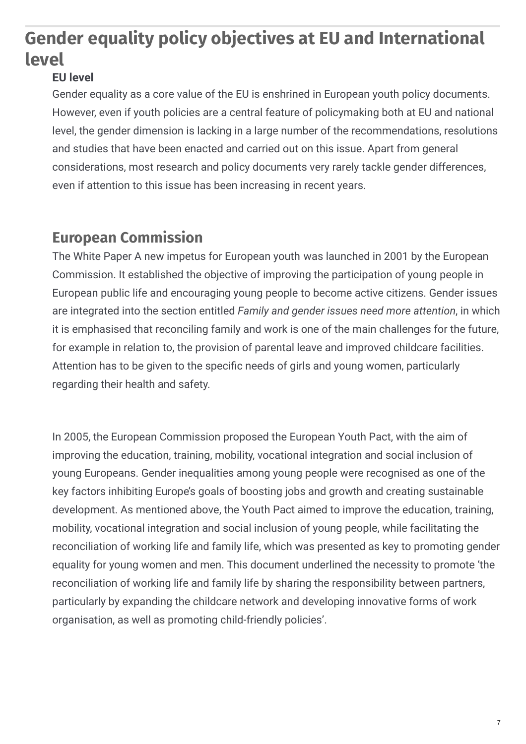## **Gender equality policy objectives at EU and International level**

#### **EU level**

Gender equality as a core value of the EU is enshrined in European youth policy documents. However, even if youth policies are a central feature of policymaking both at EU and national level, the gender dimension is lacking in a large number of the recommendations, resolutions and studies that have been enacted and carried out on this issue. Apart from general considerations, most research and policy documents very rarely tackle gender differences, even if attention to this issue has been increasing in recent years.

## **European Commission**

The White Paper A new impetus for European youth was launched in 2001 by the European Commission. It established the objective of improving the participation of young people in European public life and encouraging young people to become active citizens. Gender issues are integrated into the section entitled *Family and gender issues need more attention*, in which it is emphasised that reconciling family and work is one of the main challenges for the future, for example in relation to, the provision of parental leave and improved childcare facilities. Attention has to be given to the specific needs of girls and young women, particularly regarding their health and safety.

In 2005, the European Commission proposed the European Youth Pact, with the aim of improving the education, training, mobility, vocational integration and social inclusion of young Europeans. Gender inequalities among young people were recognised as one of the key factors inhibiting Europe's goals of boosting jobs and growth and creating sustainable development. As mentioned above, the Youth Pact aimed to improve the education, training, mobility, vocational integration and social inclusion of young people, while facilitating the reconciliation of working life and family life, which was presented as key to promoting gender equality for young women and men. This document underlined the necessity to promote 'the reconciliation of working life and family life by sharing the responsibility between partners, particularly by expanding the childcare network and developing innovative forms of work organisation, as well as promoting child-friendly policies'.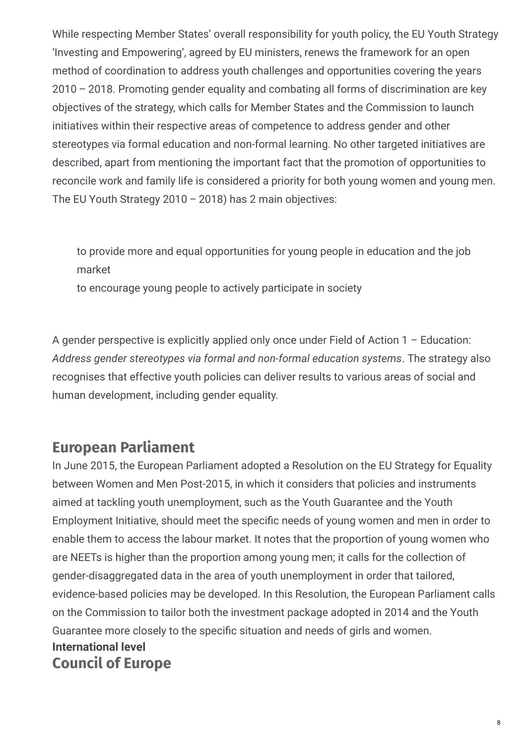While respecting Member States' overall responsibility for youth policy, the EU Youth Strategy 'Investing and Empowering', agreed by EU ministers, renews the framework for an open method of coordination to address youth challenges and opportunities covering the years 2010 – 2018. Promoting gender equality and combating all forms of discrimination are key objectives of the strategy, which calls for Member States and the Commission to launch initiatives within their respective areas of competence to address gender and other stereotypes via formal education and non-formal learning. No other targeted initiatives are described, apart from mentioning the important fact that the promotion of opportunities to reconcile work and family life is considered a priority for both young women and young men. The EU Youth Strategy 2010 – 2018) has 2 main objectives:

to provide more and equal opportunities for young people in education and the job market

to encourage young people to actively participate in society

A gender perspective is explicitly applied only once under Field of Action 1 – Education: *Address gender stereotypes via formal and non-formal education systems*. The strategy also recognises that effective youth policies can deliver results to various areas of social and human development, including gender equality.

#### **European Parliament**

In June 2015, the European Parliament adopted a Resolution on the EU Strategy for Equality between Women and Men Post-2015, in which it considers that policies and instruments aimed at tackling youth unemployment, such as the Youth Guarantee and the Youth Employment Initiative, should meet the specific needs of young women and men in order to enable them to access the labour market. It notes that the proportion of young women who are NEETs is higher than the proportion among young men; it calls for the collection of gender-disaggregated data in the area of youth unemployment in order that tailored, evidence-based policies may be developed. In this Resolution, the European Parliament calls on the Commission to tailor both the investment package adopted in 2014 and the Youth Guarantee more closely to the specific situation and needs of girls and women. **Council of Europe International level**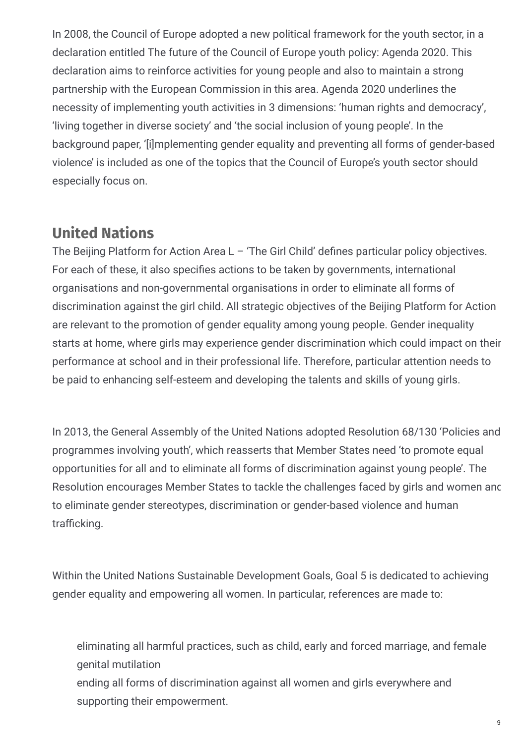In 2008, the Council of Europe adopted a new political framework for the youth sector, in a declaration entitled The future of the Council of Europe youth policy: Agenda 2020. This declaration aims to reinforce activities for young people and also to maintain a strong partnership with the European Commission in this area. Agenda 2020 underlines the necessity of implementing youth activities in 3 dimensions: 'human rights and democracy', 'living together in diverse society' and 'the social inclusion of young people'. In the background paper, '[i]mplementing gender equality and preventing all forms of gender-based violence' is included as one of the topics that the Council of Europe's youth sector should especially focus on.

## **United Nations**

The Beijing Platform for Action Area  $L - T$ he Girl Child' defines particular policy objectives. For each of these, it also specifies actions to be taken by governments, international organisations and non-governmental organisations in order to eliminate all forms of discrimination against the girl child. All strategic objectives of the Beijing Platform for Action are relevant to the promotion of gender equality among young people. Gender inequality starts at home, where girls may experience gender discrimination which could impact on their performance at school and in their professional life. Therefore, particular attention needs to be paid to enhancing self-esteem and developing the talents and skills of young girls.

In 2013, the General Assembly of the United Nations adopted Resolution 68/130 'Policies and programmes involving youth', which reasserts that Member States need 'to promote equal opportunities for all and to eliminate all forms of discrimination against young people'. The Resolution encourages Member States to tackle the challenges faced by girls and women and to eliminate gender stereotypes, discrimination or gender-based violence and human trafficking.

Within the United Nations Sustainable Development Goals, Goal 5 is dedicated to achieving gender equality and empowering all women. In particular, references are made to:

eliminating all harmful practices, such as child, early and forced marriage, and female genital mutilation

ending all forms of discrimination against all women and girls everywhere and supporting their empowerment.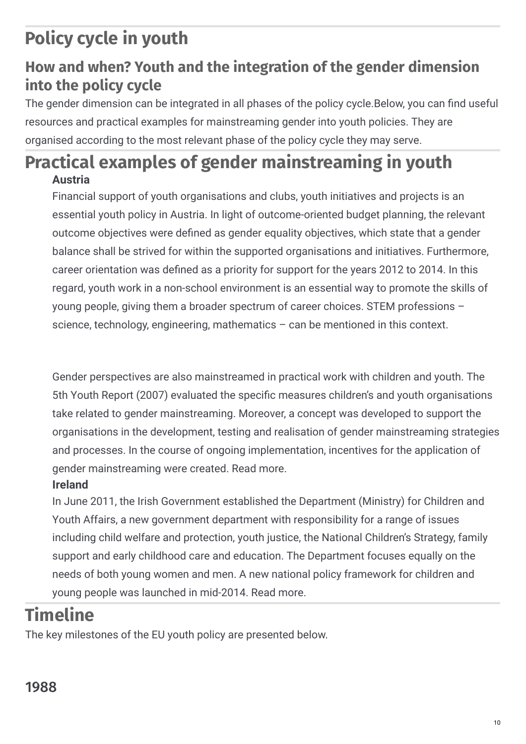# **Policy cycle in youth**

## **How and when? Youth and the integration of the gender dimension into the policy cycle**

The gender dimension can be integrated in all phases of the policy cycle. Below, you can find useful resources and practical examples for mainstreaming gender into youth policies. They are organised according to the most relevant phase of the policy cycle they may serve.

## **Practical examples of gender mainstreaming in youth Austria**

Financial support of youth organisations and clubs, youth initiatives and projects is an essential youth policy in Austria. In light of outcome-oriented budget planning, the relevant outcome objectives were defined as gender equality objectives, which state that a gender balance shall be strived for within the supported organisations and initiatives. Furthermore, career orientation was defined as a priority for support for the years 2012 to 2014. In this regard, youth work in a non-school environment is an essential way to promote the skills of young people, giving them a broader spectrum of career choices. STEM professions – science, technology, engineering, mathematics – can be mentioned in this context.

Gender perspectives are also mainstreamed in practical work with children and youth. The 5th Youth Report (2007) evaluated the specific measures children's and youth organisations take related to gender mainstreaming. Moreover, a concept was developed to support the organisations in the development, testing and realisation of gender mainstreaming strategies and processes. In the course of ongoing implementation, incentives for the application of gender mainstreaming were created. Read more.

#### **Ireland**

In June 2011, the Irish Government established the Department (Ministry) for Children and Youth Affairs, a new government department with responsibility for a range of issues including child welfare and protection, youth justice, the National Children's Strategy, family support and early childhood care and education. The Department focuses equally on the needs of both young women and men. A new national policy framework for children and young people was launched in mid-2014. Read more.

## **Timeline**

The key milestones of the EU youth policy are presented below.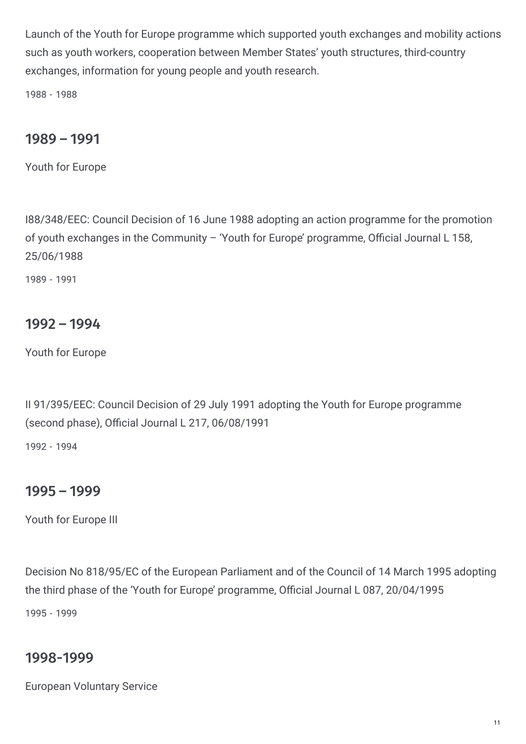Launch of the Youth for Europe programme which supported youth exchanges and mobility actions such as youth workers, cooperation between Member States' youth structures, third-country exchanges, information for young people and youth research.

1988 - 1988

#### 1989 – 1991

Youth for Europe

I88/348/EEC: Council Decision of 16 June 1988 adopting an action programme for the promotion of youth exchanges in the Community - 'Youth for Europe' programme, Official Journal L 158, 25/06/1988

1989 - 1991

#### 1992 – 1994

Youth for Europe

II 91/395/EEC: Council Decision of 29 July 1991 adopting the Youth for Europe programme (second phase), Official Journal L  $217, 06/08/1991$ 

1992 - 1994

#### 1995 – 1999

Youth for Europe III

Decision No 818/95/EC of the European Parliament and of the Council of 14 March 1995 adopting the third phase of the 'Youth for Europe' programme, Official Journal L 087, 20/04/1995 1995 - 1999

#### 1998-1999

European Voluntary Service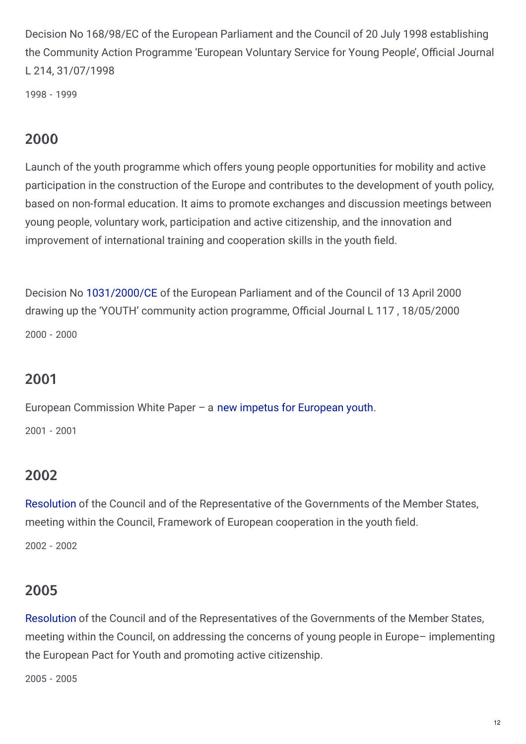Decision No 168/98/EC of the European Parliament and the Council of 20 July 1998 establishing the Community Action Programme 'European Voluntary Service for Young People', Official Journal L 214, 31/07/1998

1998 - 1999

### 2000

Launch of the youth programme which offers young people opportunities for mobility and active participation in the construction of the Europe and contributes to the development of youth policy, based on non-formal education. It aims to promote exchanges and discussion meetings between young people, voluntary work, participation and active citizenship, and the innovation and improvement of international training and cooperation skills in the youth field.

Decision No [1031/2000/CE](http://eur-lex.europa.eu/legal-content/EN/TXT/PDF/?uri=CELEX:32000D1031&from=EN) of the European Parliament and of the Council of 13 April 2000 drawing up the 'YOUTH' community action programme, Official Journal L 117, 18/05/2000 2000 - 2000

#### 2001

European Commission White Paper – a new impetus for [European](http://eryica.org/files/EC_White Paper on Youth_2001_EN.pdf) youth. 2001 - 2001

#### 2002

[Resolution](http://eur-lex.europa.eu/legal-content/EN/TXT/PDF/?uri=CELEX:32002G0713(01)&from=EN) of the Council and of the Representative of the Governments of the Member States, meeting within the Council, Framework of European cooperation in the youth field.

2002 - 2002

#### 2005

[Resolution](http://eur-lex.europa.eu/legal-content/EN/TXT/PDF/?uri=CELEX:42005X1124(03)&from=EN) of the Council and of the Representatives of the Governments of the Member States, meeting within the Council, on addressing the concerns of young people in Europe– implementing the European Pact for Youth and promoting active citizenship.

2005 - 2005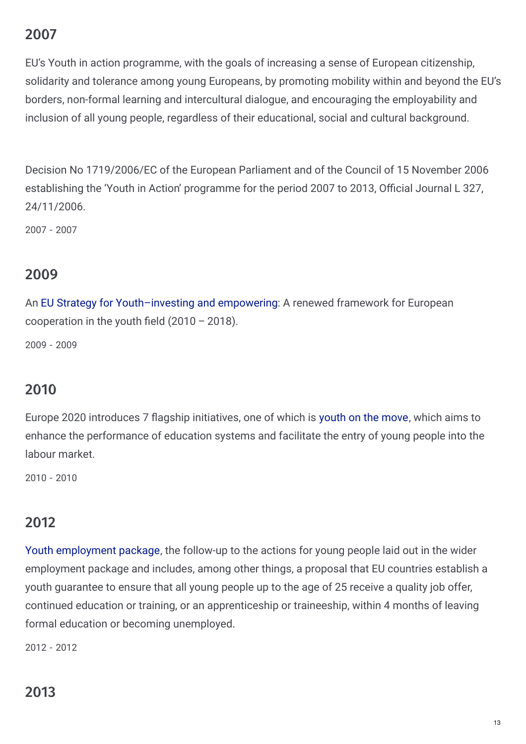## 2007

EU's Youth in action programme, with the goals of increasing a sense of European citizenship, solidarity and tolerance among young Europeans, by promoting mobility within and beyond the EU's borders, non-formal learning and intercultural dialogue, and encouraging the employability and inclusion of all young people, regardless of their educational, social and cultural background.

Decision No 1719/2006/EC of the European Parliament and of the Council of 15 November 2006 establishing the 'Youth in Action' programme for the period 2007 to 2013, Official Journal L 327, 24/11/2006.

2007 - 2007

## 2009

An EU Strategy for [Youth–investing](http://eur-lex.europa.eu/legal-content/EN/TXT/PDF/?uri=CELEX:52009DC0200&from=EN) and empowering: A renewed framework for European cooperation in the youth field  $(2010 - 2018)$ .

2009 - 2009

### 2010

Europe 2020 introduces 7 flagship initiatives, one of which is [youth](http://europa.eu/youthonthemove/docs/communication/youth-on-the-move_EN.pdf) on the move, which aims to enhance the performance of education systems and facilitate the entry of young people into the labour market.

2010 - 2010

### 2012

Youth [employment](http://ec.europa.eu/social/main.jsp?langId=en&catId=1036&newsId=1731&furtherNews=yes) package, the follow-up to the actions for young people laid out in the wider employment package and includes, among other things, a proposal that EU countries establish a youth guarantee to ensure that all young people up to the age of 25 receive a quality job offer, continued education or training, or an apprenticeship or traineeship, within 4 months of leaving formal education or becoming unemployed.

2012 - 2012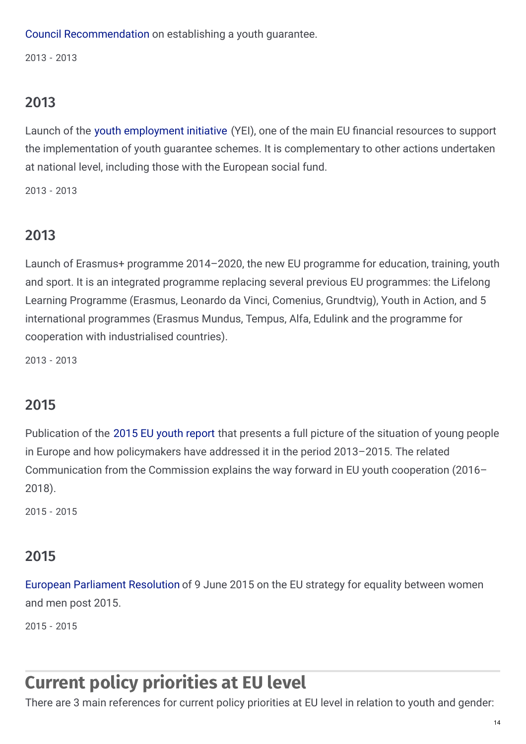Council [Recommendation](http://eur-lex.europa.eu/legal-content/EN/TXT/PDF/?uri=CELEX:32013H0426(01)&from=EN) on establishing a youth guarantee.

2013 - 2013

## 2013

Launch of the youth [employment](http://ec.europa.eu/social/main.jsp?catId=1176&langId=en) initiative (YEI), one of the main EU financial resources to support the implementation of youth guarantee schemes. It is complementary to other actions undertaken at national level, including those with the European social fund.

2013 - 2013

## 2013

Launch of Erasmus+ programme 2014–2020, the new EU programme for education, training, youth and sport. It is an integrated programme replacing several previous EU programmes: the Lifelong Learning Programme (Erasmus, Leonardo da Vinci, Comenius, Grundtvig), Youth in Action, and 5 international programmes (Erasmus Mundus, Tempus, Alfa, Edulink and the programme for cooperation with industrialised countries).

2013 - 2013

## 2015

Publication of the 2015 EU youth [report](http://ec.europa.eu/youth/policy/implementation/report_en.htm) that presents a full picture of the situation of young people in Europe and how policymakers have addressed it in the period 2013–2015. The related Communication from the Commission explains the way forward in EU youth cooperation (2016– 2018).

2015 - 2015

### 2015

European [Parliament](http://www.europarl.europa.eu/sides/getDoc.do?pubRef=-//EP//NONSGML+TA+P8-TA-2015-0218+0+DOC+PDF+V0//EN) Resolution of 9 June 2015 on the EU strategy for equality between women and men post 2015.

2015 - 2015

## **Current policy priorities at EU level**

There are 3 main references for current policy priorities at EU level in relation to youth and gender: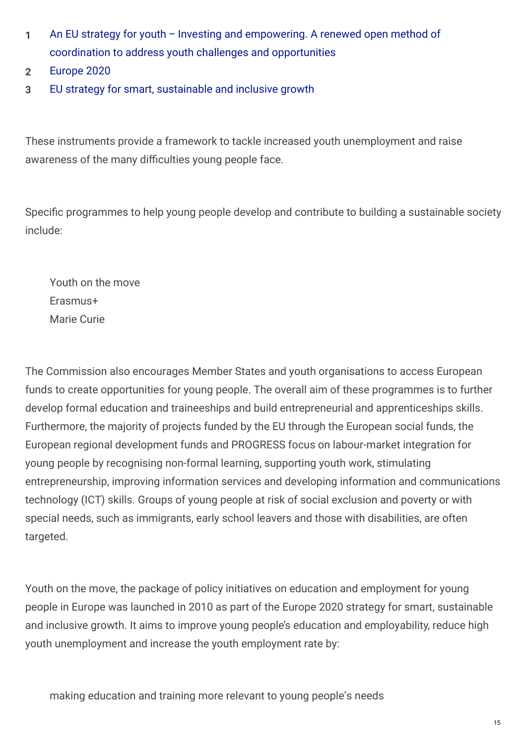- An EU strategy for youth Investing and [empowering.](http://eur-lex.europa.eu/legal-content/EN/ALL/?uri=CELEX%3A52009DC0200) A renewed open method of coordination to address youth challenges and opportunities **1**
- **2** [Europe](http://ec.europa.eu/europe2020/index_en.htm) 2020
- **3** EU strategy for smart, [sustainable](http://eur-lex.europa.eu/legal-content/en/ALL/?uri=CELEX%3A52010DC2020) and inclusive growth

These instruments provide a framework to tackle increased youth unemployment and raise awareness of the many difficulties young people face.

Specific programmes to help young people develop and contribute to building a sustainable society include:

Youth on the move Erasmus+ Marie Curie

The Commission also encourages Member States and youth organisations to access European funds to create opportunities for young people. The overall aim of these programmes is to further develop formal education and traineeships and build entrepreneurial and apprenticeships skills. Furthermore, the majority of projects funded by the EU through the European social funds, the European regional development funds and PROGRESS focus on labour-market integration for young people by recognising non-formal learning, supporting youth work, stimulating entrepreneurship, improving information services and developing information and communications technology (ICT) skills. Groups of young people at risk of social exclusion and poverty or with special needs, such as immigrants, early school leavers and those with disabilities, are often targeted.

Youth on the move, the package of policy initiatives on education and employment for young people in Europe was launched in 2010 as part of the Europe 2020 strategy for smart, sustainable and inclusive growth. It aims to improve young people's education and employability, reduce high youth unemployment and increase the youth employment rate by: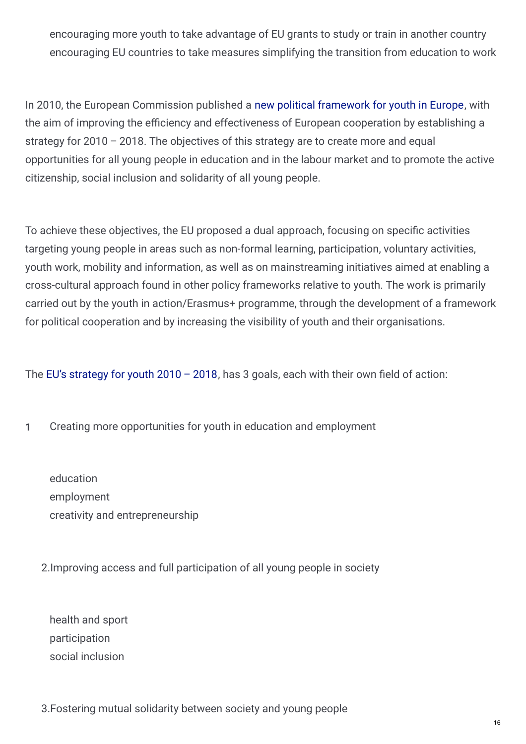encouraging more youth to take advantage of EU grants to study or train in another country encouraging EU countries to take measures simplifying the transition from education to work

In 2010, the European Commission published a new political [framework](http://eur-lex.europa.eu/legal-content/EN/TXT/PDF/?uri=CELEX:52009DC0200&from=EN) for youth in Europe, with the aim of improving the efficiency and effectiveness of European cooperation by establishing a strategy for 2010 – 2018. The objectives of this strategy are to create more and equal opportunities for all young people in education and in the labour market and to promote the active citizenship, social inclusion and solidarity of all young people.

To achieve these objectives, the EU proposed a dual approach, focusing on specific activities targeting young people in areas such as non-formal learning, participation, voluntary activities, youth work, mobility and information, as well as on mainstreaming initiatives aimed at enabling a cross-cultural approach found in other policy frameworks relative to youth. The work is primarily carried out by the youth in action/Erasmus+ programme, through the development of a framework for political cooperation and by increasing the visibility of youth and their organisations.

The EU's [strategy](http://eur-lex.europa.eu/legal-content/EN/TXT/PDF/?uri=CELEX:52009DC0200&from=EN) for youth  $2010 - 2018$ , has 3 goals, each with their own field of action:

**1** Creating more opportunities for youth in education and employment

education employment creativity and entrepreneurship

2.Improving access and full participation of all young people in society

health and sport participation social inclusion

3.Fostering mutual solidarity between society and young people